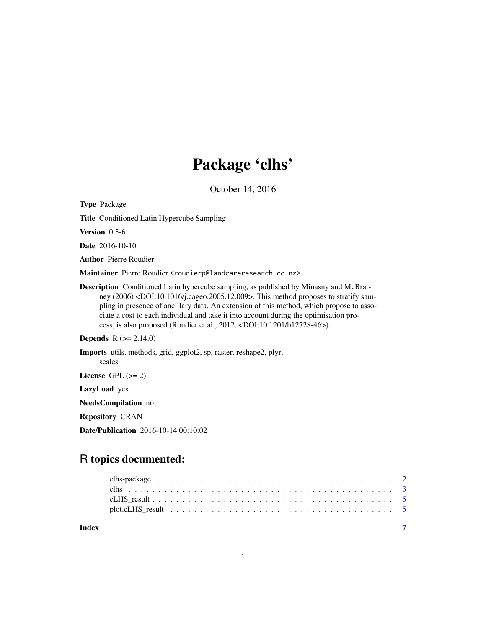# Package 'clhs'

October 14, 2016

Type Package

Title Conditioned Latin Hypercube Sampling

Version 0.5-6

Date 2016-10-10

Author Pierre Roudier

Maintainer Pierre Roudier <roudierp@landcareresearch.co.nz>

Description Conditioned Latin hypercube sampling, as published by Minasny and McBratney (2006) <DOI:10.1016/j.cageo.2005.12.009>. This method proposes to stratify sampling in presence of ancillary data. An extension of this method, which propose to associate a cost to each individual and take it into account during the optimisation process, is also proposed (Roudier et al., 2012, <DOI:10.1201/b12728-46>).

**Depends** R  $(>= 2.14.0)$ 

Imports utils, methods, grid, ggplot2, sp, raster, reshape2, plyr,

License GPL  $(>= 2)$ 

scales

LazyLoad yes

NeedsCompilation no

Repository CRAN

Date/Publication 2016-10-14 00:10:02

## R topics documented:

| Index |  |
|-------|--|
|       |  |
|       |  |
|       |  |
|       |  |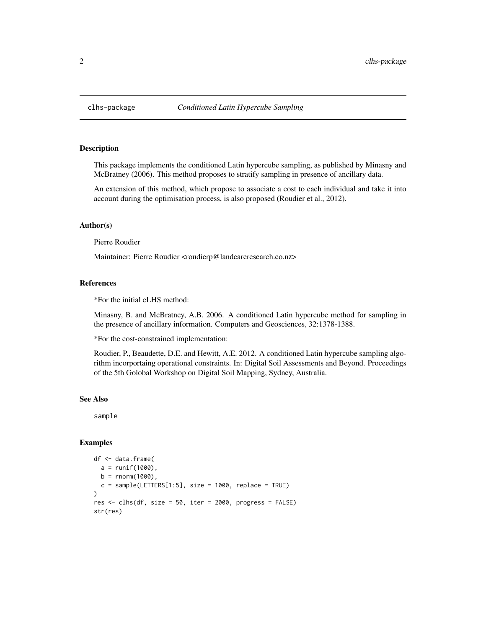<span id="page-1-0"></span>

#### **Description**

This package implements the conditioned Latin hypercube sampling, as published by Minasny and McBratney (2006). This method proposes to stratify sampling in presence of ancillary data.

An extension of this method, which propose to associate a cost to each individual and take it into account during the optimisation process, is also proposed (Roudier et al., 2012).

#### Author(s)

Pierre Roudier

Maintainer: Pierre Roudier <roudierp@landcareresearch.co.nz>

#### References

\*For the initial cLHS method:

Minasny, B. and McBratney, A.B. 2006. A conditioned Latin hypercube method for sampling in the presence of ancillary information. Computers and Geosciences, 32:1378-1388.

\*For the cost-constrained implementation:

Roudier, P., Beaudette, D.E. and Hewitt, A.E. 2012. A conditioned Latin hypercube sampling algorithm incorportaing operational constraints. In: Digital Soil Assessments and Beyond. Proceedings of the 5th Golobal Workshop on Digital Soil Mapping, Sydney, Australia.

#### See Also

sample

#### Examples

```
df <- data.frame(
  a = runif(1000),
  b = rnorm(1000),
  c = sample(LETTERs[1:5], size = 1000, replace = TRUE))
res \le clhs(df, size = 50, iter = 2000, progress = FALSE)
str(res)
```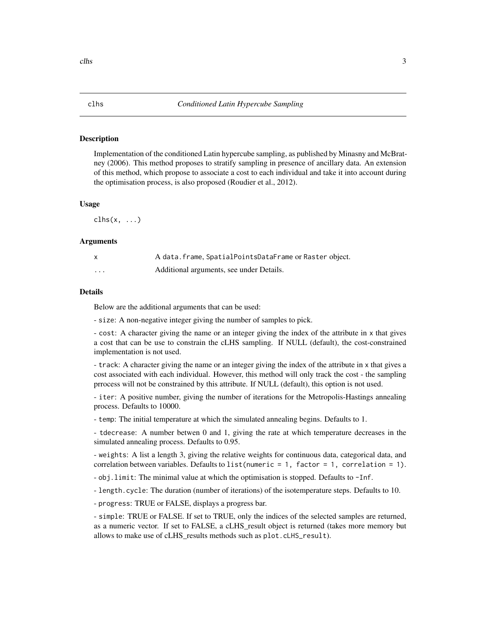#### <span id="page-2-1"></span><span id="page-2-0"></span>Description

Implementation of the conditioned Latin hypercube sampling, as published by Minasny and McBratney (2006). This method proposes to stratify sampling in presence of ancillary data. An extension of this method, which propose to associate a cost to each individual and take it into account during the optimisation process, is also proposed (Roudier et al., 2012).

#### Usage

 $\text{clhs}(x, \ldots)$ 

#### Arguments

| $\mathsf{x}$ | A data. frame, SpatialPointsDataFrame or Raster object. |
|--------------|---------------------------------------------------------|
| .            | Additional arguments, see under Details.                |

#### Details

Below are the additional arguments that can be used:

- size: A non-negative integer giving the number of samples to pick.

- cost: A character giving the name or an integer giving the index of the attribute in x that gives a cost that can be use to constrain the cLHS sampling. If NULL (default), the cost-constrained implementation is not used.

- track: A character giving the name or an integer giving the index of the attribute in x that gives a cost associated with each individual. However, this method will only track the cost - the sampling prrocess will not be constrained by this attribute. If NULL (default), this option is not used.

- iter: A positive number, giving the number of iterations for the Metropolis-Hastings annealing process. Defaults to 10000.

- temp: The initial temperature at which the simulated annealing begins. Defaults to 1.

- tdecrease: A number betwen 0 and 1, giving the rate at which temperature decreases in the simulated annealing process. Defaults to 0.95.

- weights: A list a length 3, giving the relative weights for continuous data, categorical data, and correlation between variables. Defaults to list(numeric = 1, factor = 1, correlation = 1).

- obj.limit: The minimal value at which the optimisation is stopped. Defaults to -Inf.

- length.cycle: The duration (number of iterations) of the isotemperature steps. Defaults to 10.

- progress: TRUE or FALSE, displays a progress bar.

- simple: TRUE or FALSE. If set to TRUE, only the indices of the selected samples are returned, as a numeric vector. If set to FALSE, a cLHS\_result object is returned (takes more memory but allows to make use of cLHS\_results methods such as plot.cLHS\_result).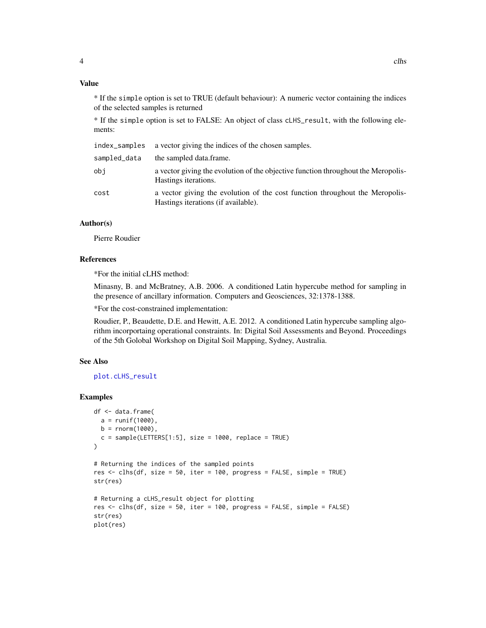#### <span id="page-3-0"></span>Value

\* If the simple option is set to TRUE (default behaviour): A numeric vector containing the indices of the selected samples is returned

\* If the simple option is set to FALSE: An object of class cLHS\_result, with the following elements:

| index_samples | a vector giving the indices of the chosen samples.                                                                  |
|---------------|---------------------------------------------------------------------------------------------------------------------|
| sampled_data  | the sampled data.frame.                                                                                             |
| obi           | a vector giving the evolution of the objective function throughout the Meropolis-<br>Hastings iterations.           |
| cost          | a vector giving the evolution of the cost function throughout the Meropolis-<br>Hastings iterations (if available). |

#### Author(s)

Pierre Roudier

#### References

\*For the initial cLHS method:

Minasny, B. and McBratney, A.B. 2006. A conditioned Latin hypercube method for sampling in the presence of ancillary information. Computers and Geosciences, 32:1378-1388.

\*For the cost-constrained implementation:

Roudier, P., Beaudette, D.E. and Hewitt, A.E. 2012. A conditioned Latin hypercube sampling algorithm incorportaing operational constraints. In: Digital Soil Assessments and Beyond. Proceedings of the 5th Golobal Workshop on Digital Soil Mapping, Sydney, Australia.

#### See Also

#### [plot.cLHS\\_result](#page-4-1)

#### Examples

```
df <- data.frame(
  a = runif(1000),b = rnorm(1000),
  c = sample(LETTERS[1:5], size = 1000, replace = TRUE)\lambda# Returning the indices of the sampled points
res <- clhs(df, size = 50, iter = 100, progress = FALSE, simple = TRUE)
str(res)
# Returning a cLHS_result object for plotting
res <- clhs(df, size = 50, iter = 100, progress = FALSE, simple = FALSE)
str(res)
plot(res)
```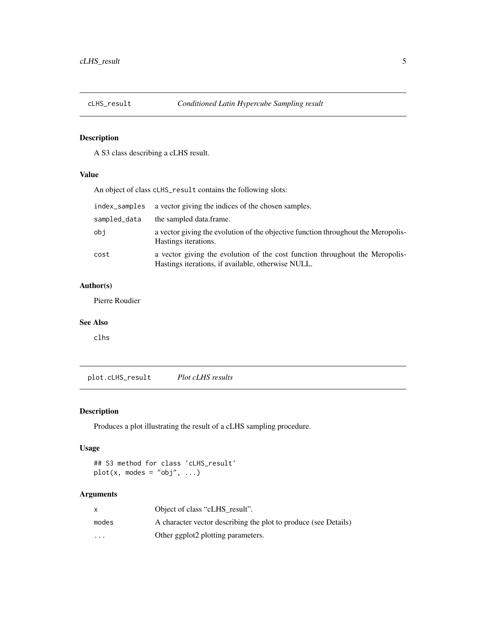<span id="page-4-0"></span>

#### Description

A S3 class describing a cLHS result.

#### Value

An object of class cLHS\_result contains the following slots:

| index_samples | a vector giving the indices of the chosen samples.                                                                                 |
|---------------|------------------------------------------------------------------------------------------------------------------------------------|
| sampled_data  | the sampled data frame.                                                                                                            |
| obi           | a vector giving the evolution of the objective function throughout the Meropolis-<br>Hastings iterations.                          |
| cost          | a vector giving the evolution of the cost function throughout the Meropolis-<br>Hastings iterations, if available, otherwise NULL. |

#### Author(s)

Pierre Roudier

#### See Also

clhs

<span id="page-4-1"></span>plot.cLHS\_result *Plot cLHS results*

### Description

Produces a plot illustrating the result of a cLHS sampling procedure.

#### Usage

```
## S3 method for class 'cLHS_result'
plot(x, modes = "obj", ...)
```
#### Arguments

|         | Object of class "cLHS result".                                  |
|---------|-----------------------------------------------------------------|
| modes   | A character vector describing the plot to produce (see Details) |
| $\cdot$ | Other ggplot2 plotting parameters.                              |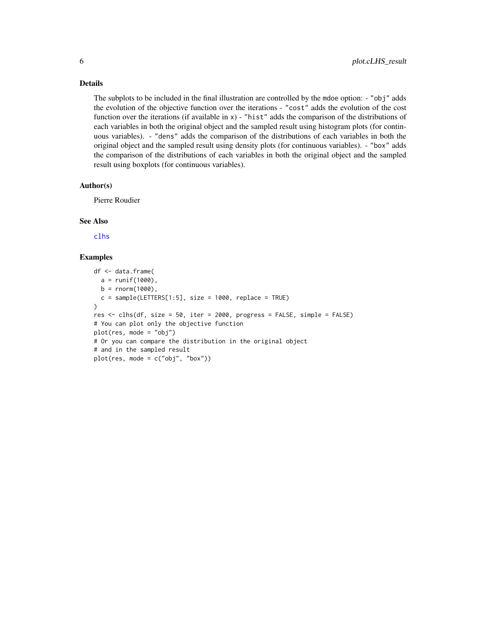<span id="page-5-0"></span>Details

The subplots to be included in the final illustration are controlled by the mdoe option: - "obj" adds the evolution of the objective function over the iterations - "cost" adds the evolution of the cost function over the iterations (if available in x) - "hist" adds the comparison of the distributions of each variables in both the original object and the sampled result using histogram plots (for continuous variables). - "dens" adds the comparison of the distributions of each variables in both the original object and the sampled result using density plots (for continuous variables). - "box" adds the comparison of the distributions of each variables in both the original object and the sampled result using boxplots (for continuous variables).

#### Author(s)

Pierre Roudier

#### See Also

[clhs](#page-2-1)

#### Examples

```
df <- data.frame(
  a = runif(1000),
  b = rnorm(1000),
  c = sample(LETTERS[1:5], size = 1000, replace = TRUE))
res <- clhs(df, size = 50, iter = 2000, progress = FALSE, simple = FALSE)
# You can plot only the objective function
plot(res, mode = "obj")
# Or you can compare the distribution in the original object
# and in the sampled result
plot(res, mode = c("obj", "box"))
```